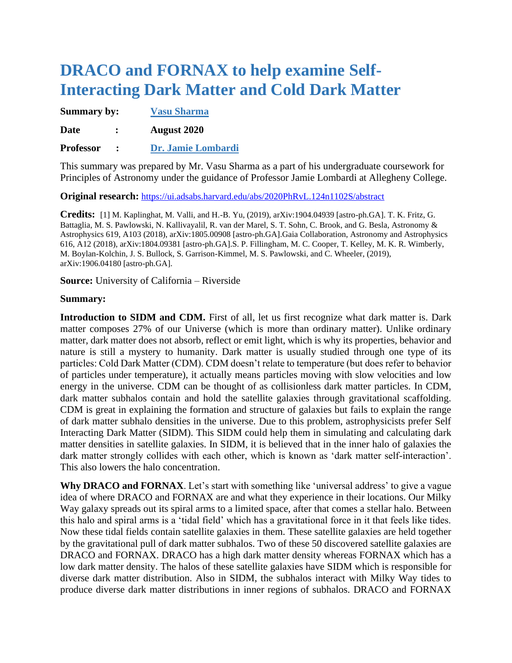## **DRACO and FORNAX to help examine Self-Interacting Dark Matter and Cold Dark Matter**

| <b>Summary by:</b> |                      | <b>Vasu Sharma</b> |
|--------------------|----------------------|--------------------|
| <b>Date</b>        | $\ddot{\phantom{a}}$ | <b>August 2020</b> |
| <b>Professor</b>   |                      | Dr. Jamie Lombardi |

This summary was prepared by Mr. Vasu Sharma as a part of his undergraduate coursework for Principles of Astronomy under the guidance of Professor Jamie Lombardi at Allegheny College.

**Original research:** <https://ui.adsabs.harvard.edu/abs/2020PhRvL.124n1102S/abstract>

**Credits:** [1] M. Kaplinghat, M. Valli, and H.-B. Yu, (2019), arXiv:1904.04939 [astro-ph.GA]. T. K. Fritz, G. Battaglia, M. S. Pawlowski, N. Kallivayalil, R. van der Marel, S. T. Sohn, C. Brook, and G. Besla, Astronomy & Astrophysics 619, A103 (2018), arXiv:1805.00908 [astro-ph.GA].Gaia Collaboration, Astronomy and Astrophysics 616, A12 (2018), arXiv:1804.09381 [astro-ph.GA].S. P. Fillingham, M. C. Cooper, T. Kelley, M. K. R. Wimberly, M. Boylan-Kolchin, J. S. Bullock, S. Garrison-Kimmel, M. S. Pawlowski, and C. Wheeler, (2019), arXiv:1906.04180 [astro-ph.GA].

**Source:** University of California – Riverside

## **Summary:**

Introduction to SIDM and CDM. First of all, let us first recognize what dark matter is. Dark matter composes 27% of our Universe (which is more than ordinary matter). Unlike ordinary matter, dark matter does not absorb, reflect or emit light, which is why its properties, behavior and nature is still a mystery to humanity. Dark matter is usually studied through one type of its particles: Cold Dark Matter (CDM). CDM doesn't relate to temperature (but does refer to behavior of particles under temperature), it actually means particles moving with slow velocities and low energy in the universe. CDM can be thought of as collisionless dark matter particles. In CDM, dark matter subhalos contain and hold the satellite galaxies through gravitational scaffolding. CDM is great in explaining the formation and structure of galaxies but fails to explain the range of dark matter subhalo densities in the universe. Due to this problem, astrophysicists prefer Self Interacting Dark Matter (SIDM). This SIDM could help them in simulating and calculating dark matter densities in satellite galaxies. In SIDM, it is believed that in the inner halo of galaxies the dark matter strongly collides with each other, which is known as 'dark matter self-interaction'. This also lowers the halo concentration.

**Why DRACO and FORNAX**. Let's start with something like 'universal address' to give a vague idea of where DRACO and FORNAX are and what they experience in their locations. Our Milky Way galaxy spreads out its spiral arms to a limited space, after that comes a stellar halo. Between this halo and spiral arms is a 'tidal field' which has a gravitational force in it that feels like tides. Now these tidal fields contain satellite galaxies in them. These satellite galaxies are held together by the gravitational pull of dark matter subhalos. Two of these 50 discovered satellite galaxies are DRACO and FORNAX. DRACO has a high dark matter density whereas FORNAX which has a low dark matter density. The halos of these satellite galaxies have SIDM which is responsible for diverse dark matter distribution. Also in SIDM, the subhalos interact with Milky Way tides to produce diverse dark matter distributions in inner regions of subhalos. DRACO and FORNAX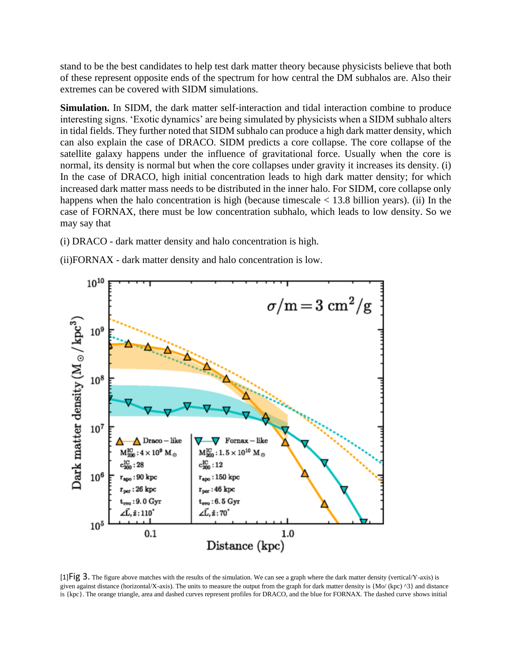stand to be the best candidates to help test dark matter theory because physicists believe that both of these represent opposite ends of the spectrum for how central the DM subhalos are. Also their extremes can be covered with SIDM simulations.

**Simulation.** In SIDM, the dark matter self-interaction and tidal interaction combine to produce interesting signs. 'Exotic dynamics' are being simulated by physicists when a SIDM subhalo alters in tidal fields. They further noted that SIDM subhalo can produce a high dark matter density, which can also explain the case of DRACO. SIDM predicts a core collapse. The core collapse of the satellite galaxy happens under the influence of gravitational force. Usually when the core is normal, its density is normal but when the core collapses under gravity it increases its density. (i) In the case of DRACO, high initial concentration leads to high dark matter density; for which increased dark matter mass needs to be distributed in the inner halo. For SIDM, core collapse only happens when the halo concentration is high (because timescale < 13.8 billion years). (ii) In the case of FORNAX, there must be low concentration subhalo, which leads to low density. So we may say that

- (i) DRACO dark matter density and halo concentration is high.
- (ii)FORNAX dark matter density and halo concentration is low.



 $[1]\overline{Fig 3}$ . The figure above matches with the results of the simulation. We can see a graph where the dark matter density (vertical/Y-axis) is given against distance (horizontal/X-axis). The units to measure the output from the graph for dark matter density is  ${Mo/(kpc)}^3$  and distance is {kpc}. The orange triangle, area and dashed curves represent profiles for DRACO, and the blue for FORNAX. The dashed curve shows initial